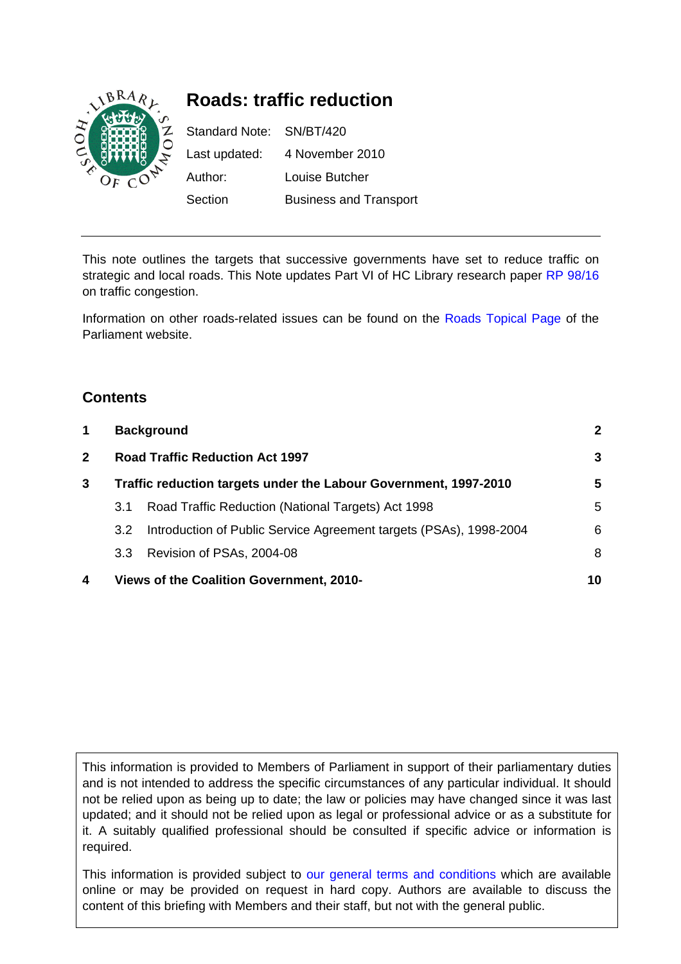

# **Roads: traffic reduction**

Standard Note: SN/BT/420 Last updated: 4 November 2010 Author: Louise Butcher Section Business and Transport

This note outlines the targets that successive governments have set to reduce traffic on strategic and local roads. This Note updates Part VI of HC Library research paper [RP 98/16](http://www.parliament.uk/documents/commons/lib/research/rp98/rp98-016.pdf) on traffic congestion.

Information on other roads-related issues can be found on the [Roads Topical Page](http://www.parliament.uk/topics/Roads.htm) of the Parliament website.

# **Contents**

| $\mathbf 1$<br><b>Background</b> |                                                                  |                                                                    | $\mathbf{2}$ |
|----------------------------------|------------------------------------------------------------------|--------------------------------------------------------------------|--------------|
| $\mathbf{2}$                     |                                                                  | <b>Road Traffic Reduction Act 1997</b>                             |              |
| 3                                | Traffic reduction targets under the Labour Government, 1997-2010 |                                                                    | 5            |
|                                  | 3.1                                                              | Road Traffic Reduction (National Targets) Act 1998                 | 5            |
|                                  | 3.2                                                              | Introduction of Public Service Agreement targets (PSAs), 1998-2004 | 6            |
|                                  | 3.3                                                              | Revision of PSAs, 2004-08                                          | 8            |
| 4                                | Views of the Coalition Government, 2010-                         |                                                                    | 10           |

This information is provided to Members of Parliament in support of their parliamentary duties and is not intended to address the specific circumstances of any particular individual. It should not be relied upon as being up to date; the law or policies may have changed since it was last updated; and it should not be relied upon as legal or professional advice or as a substitute for it. A suitably qualified professional should be consulted if specific advice or information is required.

This information is provided subject to [our general terms and conditions](http://www.parliament.uk/site_information/parliamentary_copyright.cfm) which are available online or may be provided on request in hard copy. Authors are available to discuss the content of this briefing with Members and their staff, but not with the general public.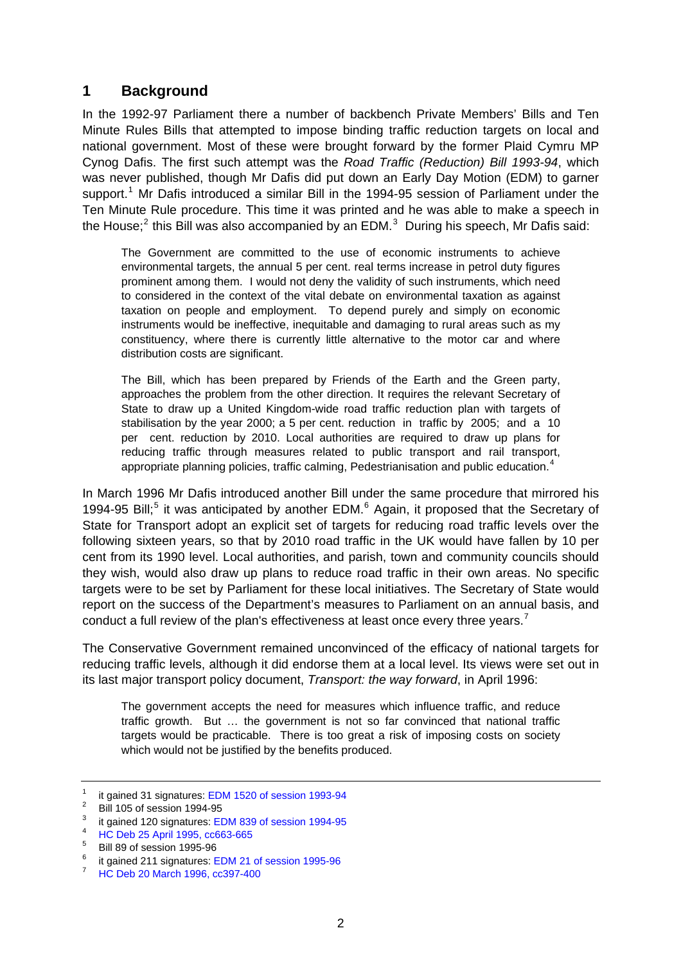# <span id="page-1-0"></span>**1 Background**

In the 1992-97 Parliament there a number of backbench Private Members' Bills and Ten Minute Rules Bills that attempted to impose binding traffic reduction targets on local and national government. Most of these were brought forward by the former Plaid Cymru MP Cynog Dafis. The first such attempt was the *Road Traffic (Reduction) Bill 1993-94*, which was never published, though Mr Dafis did put down an Early Day Motion (EDM) to garner support.<sup>[1](#page-1-1)</sup> Mr Dafis introduced a similar Bill in the 1994-95 session of Parliament under the Ten Minute Rule procedure. This time it was printed and he was able to make a speech in the House;<sup>[2](#page-1-2)</sup> this Bill was also accompanied by an EDM.<sup>[3](#page-1-3)</sup> During his speech, Mr Dafis said:

The Government are committed to the use of economic instruments to achieve environmental targets, the annual 5 per cent. real terms increase in petrol duty figures prominent among them. I would not deny the validity of such instruments, which need to considered in the context of the vital debate on environmental taxation as against taxation on people and employment. To depend purely and simply on economic instruments would be ineffective, inequitable and damaging to rural areas such as my constituency, where there is currently little alternative to the motor car and where distribution costs are significant.

The Bill, which has been prepared by Friends of the Earth and the Green party, approaches the problem from the other direction. It requires the relevant Secretary of State to draw up a United Kingdom-wide road traffic reduction plan with targets of stabilisation by the year 2000; a 5 per cent. reduction in traffic by 2005; and a 10 per cent. reduction by 2010. Local authorities are required to draw up plans for reducing traffic through measures related to public transport and rail transport, appropriate planning policies, traffic calming, Pedestrianisation and public education.<sup>[4](#page-1-4)</sup>

In March 1996 Mr Dafis introduced another Bill under the same procedure that mirrored his 1994-9[5](#page-1-5) Bill;<sup>5</sup> it was anticipated by another EDM. $<sup>6</sup>$  $<sup>6</sup>$  $<sup>6</sup>$  Again, it proposed that the Secretary of</sup> State for Transport adopt an explicit set of targets for reducing road traffic levels over the following sixteen years, so that by 2010 road traffic in the UK would have fallen by 10 per cent from its 1990 level. Local authorities, and parish, town and community councils should they wish, would also draw up plans to reduce road traffic in their own areas. No specific targets were to be set by Parliament for these local initiatives. The Secretary of State would report on the success of the Department's measures to Parliament on an annual basis, and conduct a full review of the plan's effectiveness at least once every three years.<sup>[7](#page-1-7)</sup>

The Conservative Government remained unconvinced of the efficacy of national targets for reducing traffic levels, although it did endorse them at a local level. Its views were set out in its last major transport policy document, *Transport: the way forward*, in April 1996:

The government accepts the need for measures which influence traffic, and reduce traffic growth. But … the government is not so far convinced that national traffic targets would be practicable. There is too great a risk of imposing costs on society which would not be justified by the benefits produced.

<sup>1</sup> it gained 31 signatures: [EDM 1520 of session 1993-94](http://edmi.parliament.uk/EDMi/EDMDetails.aspx?EDMID=8691&SESSION=697)

<span id="page-1-2"></span><span id="page-1-1"></span><sup>2</sup> Bill 105 of session 1994-95

<span id="page-1-3"></span><sup>3</sup> it gained 120 signatures: [EDM 839 of session 1994-95](http://edmi.parliament.uk/EDMi/EDMDetails.aspx?EDMID=10944&SESSION=698)

<sup>4</sup> [HC Deb 25 April 1995, cc663-665](http://hansard.millbanksystems.com/commons/1995/apr/25/road-traffic-reduction)

<span id="page-1-5"></span><span id="page-1-4"></span><sup>5</sup> Bill 89 of session 1995-96

<span id="page-1-6"></span><sup>6</sup> it gained 211 signatures: [EDM 21 of session 1995-96](http://edmi.parliament.uk/EDMi/EDMDetails.aspx?EDMID=13338&SESSION=699)

<span id="page-1-7"></span><sup>7</sup> [HC Deb 20 March 1996, cc397-400](http://hansard.millbanksystems.com/commons/1996/mar/20/road-traffic-reduction)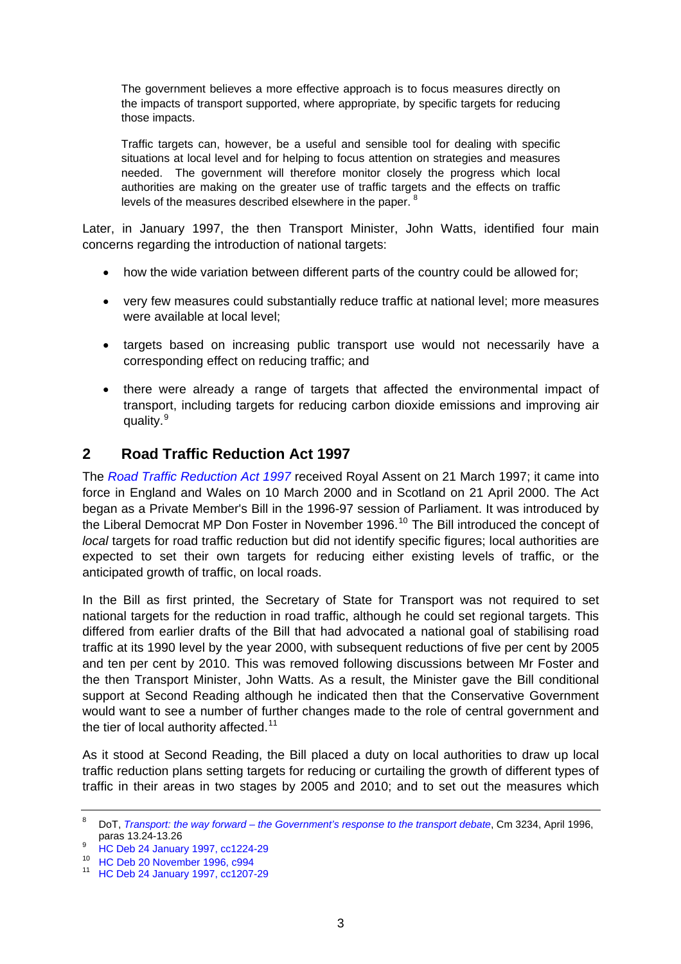<span id="page-2-0"></span>The government believes a more effective approach is to focus measures directly on the impacts of transport supported, where appropriate, by specific targets for reducing those impacts.

Traffic targets can, however, be a useful and sensible tool for dealing with specific situations at local level and for helping to focus attention on strategies and measures needed. The government will therefore monitor closely the progress which local authorities are making on the greater use of traffic targets and the effects on traffic levels of the measures described elsewhere in the paper.<sup>[8](#page-2-1)</sup>

Later, in January 1997, the then Transport Minister, John Watts, identified four main concerns regarding the introduction of national targets:

- how the wide variation between different parts of the country could be allowed for;
- very few measures could substantially reduce traffic at national level; more measures were available at local level;
- targets based on increasing public transport use would not necessarily have a corresponding effect on reducing traffic; and
- there were already a range of targets that affected the environmental impact of transport, including targets for reducing carbon dioxide emissions and improving air quality.<sup>[9](#page-2-2)</sup>

# **2 Road Traffic Reduction Act 1997**

The *[Road Traffic Reduction Act 1997](http://www.legislation.gov.uk/ukpga/1997/54/contents)* received Royal Assent on 21 March 1997; it came into force in England and Wales on 10 March 2000 and in Scotland on 21 April 2000. The Act began as a Private Member's Bill in the 1996-97 session of Parliament. It was introduced by the Liberal Democrat MP Don Foster in November 1996.<sup>[10](#page-2-3)</sup> The Bill introduced the concept of *local* targets for road traffic reduction but did not identify specific figures; local authorities are expected to set their own targets for reducing either existing levels of traffic, or the anticipated growth of traffic, on local roads.

In the Bill as first printed, the Secretary of State for Transport was not required to set national targets for the reduction in road traffic, although he could set regional targets. This differed from earlier drafts of the Bill that had advocated a national goal of stabilising road traffic at its 1990 level by the year 2000, with subsequent reductions of five per cent by 2005 and ten per cent by 2010. This was removed following discussions between Mr Foster and the then Transport Minister, John Watts. As a result, the Minister gave the Bill conditional support at Second Reading although he indicated then that the Conservative Government would want to see a number of further changes made to the role of central government and the tier of local authority affected.<sup>[11](#page-2-4)</sup>

As it stood at Second Reading, the Bill placed a duty on local authorities to draw up local traffic reduction plans setting targets for reducing or curtailing the growth of different types of traffic in their areas in two stages by 2005 and 2010; and to set out the measures which

<span id="page-2-1"></span><sup>8</sup> DoT, *[Transport: the way forward – the Government's response to the transport debate](http://parlipapers.chadwyck.co.uk/;jsessionid=12A53947850B1B2945867C47C38047AEfulltext/fulltext.do?area=hcpp&id=1995-095944&pagenum=1&backto=FULLREC)*, Cm 3234, April 1996, paras  $13.24 - 13.26$ 

<span id="page-2-2"></span><sup>&</sup>lt;sup>9</sup> [HC Deb 24 January 1997, cc1224-29](http://hansard.millbanksystems.com/commons/1997/jan/24/road-traffic-reduction-bill)<br><sup>10</sup> HC Deb 20 November 1996, c994

<span id="page-2-4"></span><span id="page-2-3"></span><sup>10</sup> [HC Deb 20 November 1996, c994](http://hansard.millbanksystems.com/commons/1996/nov/20/road-traffic-reduction) 11 [HC Deb 24 January 1997, cc1207-29](http://hansard.millbanksystems.com/commons/1997/jan/24/road-traffic-reduction-bill)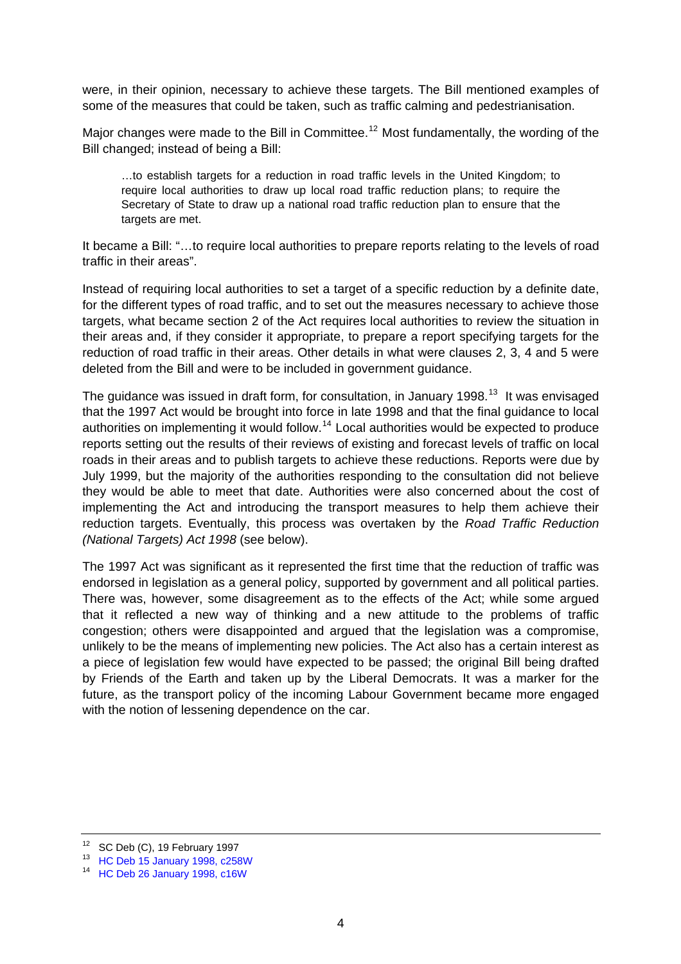were, in their opinion, necessary to achieve these targets. The Bill mentioned examples of some of the measures that could be taken, such as traffic calming and pedestrianisation.

Major changes were made to the Bill in Committee.<sup>[12](#page-3-0)</sup> Most fundamentally, the wording of the Bill changed; instead of being a Bill:

…to establish targets for a reduction in road traffic levels in the United Kingdom; to require local authorities to draw up local road traffic reduction plans; to require the Secretary of State to draw up a national road traffic reduction plan to ensure that the targets are met.

It became a Bill: "…to require local authorities to prepare reports relating to the levels of road traffic in their areas".

Instead of requiring local authorities to set a target of a specific reduction by a definite date, for the different types of road traffic, and to set out the measures necessary to achieve those targets, what became section 2 of the Act requires local authorities to review the situation in their areas and, if they consider it appropriate, to prepare a report specifying targets for the reduction of road traffic in their areas. Other details in what were clauses 2, 3, 4 and 5 were deleted from the Bill and were to be included in government guidance.

The guidance was issued in draft form, for consultation, in January 1998.<sup>[13](#page-3-1)</sup> It was envisaged that the 1997 Act would be brought into force in late 1998 and that the final guidance to local authorities on implementing it would follow.<sup>[14](#page-3-2)</sup> Local authorities would be expected to produce reports setting out the results of their reviews of existing and forecast levels of traffic on local roads in their areas and to publish targets to achieve these reductions. Reports were due by July 1999, but the majority of the authorities responding to the consultation did not believe they would be able to meet that date. Authorities were also concerned about the cost of implementing the Act and introducing the transport measures to help them achieve their reduction targets. Eventually, this process was overtaken by the *Road Traffic Reduction (National Targets) Act 1998* (see below).

The 1997 Act was significant as it represented the first time that the reduction of traffic was endorsed in legislation as a general policy, supported by government and all political parties. There was, however, some disagreement as to the effects of the Act; while some argued that it reflected a new way of thinking and a new attitude to the problems of traffic congestion; others were disappointed and argued that the legislation was a compromise, unlikely to be the means of implementing new policies. The Act also has a certain interest as a piece of legislation few would have expected to be passed; the original Bill being drafted by Friends of the Earth and taken up by the Liberal Democrats. It was a marker for the future, as the transport policy of the incoming Labour Government became more engaged with the notion of lessening dependence on the car.

SC Deb (C), 19 February 1997

<span id="page-3-1"></span><span id="page-3-0"></span><sup>13</sup> [HC Deb 15 January 1998, c258W](http://hansard.millbanksystems.com/written_answers/1998/jan/15/road-traffic-reduction-act)

<span id="page-3-2"></span><sup>14</sup> [HC Deb 26 January 1998, c16W](http://hansard.millbanksystems.com/written_answers/1998/jan/26/road-traffic-reduction-act)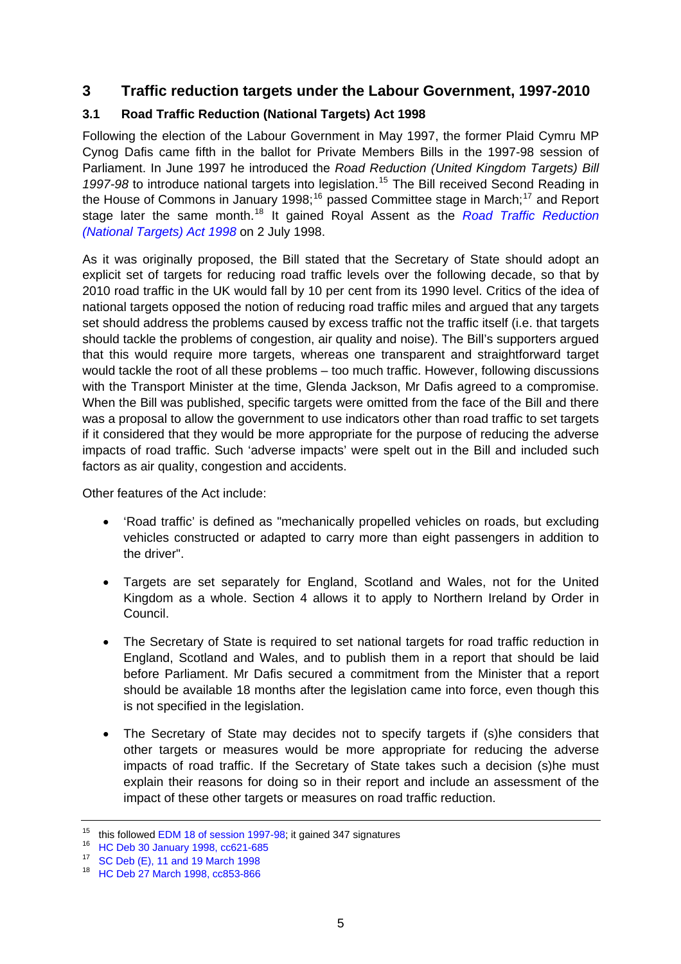# <span id="page-4-0"></span>**3 Traffic reduction targets under the Labour Government, 1997-2010**

## **3.1 Road Traffic Reduction (National Targets) Act 1998**

Following the election of the Labour Government in May 1997, the former Plaid Cymru MP Cynog Dafis came fifth in the ballot for Private Members Bills in the 1997-98 session of Parliament. In June 1997 he introduced the *Road Reduction (United Kingdom Targets) Bill*  1997-98 to introduce national targets into legislation.<sup>[15](#page-4-1)</sup> The Bill received Second Reading in the House of Commons in January 1998;<sup>[16](#page-4-2)</sup> passed Committee stage in March;<sup>[17](#page-4-3)</sup> and Report stage later the same month.[18](#page-4-4) It gained Royal Assent as the *[Road Traffic Reduction](http://www.legislation.gov.uk/ukpga/1998/24/contents)  [\(National Targets\) Act 1998](http://www.legislation.gov.uk/ukpga/1998/24/contents)* on 2 July 1998.

As it was originally proposed, the Bill stated that the Secretary of State should adopt an explicit set of targets for reducing road traffic levels over the following decade, so that by 2010 road traffic in the UK would fall by 10 per cent from its 1990 level. Critics of the idea of national targets opposed the notion of reducing road traffic miles and argued that any targets set should address the problems caused by excess traffic not the traffic itself (i.e. that targets should tackle the problems of congestion, air quality and noise). The Bill's supporters argued that this would require more targets, whereas one transparent and straightforward target would tackle the root of all these problems – too much traffic. However, following discussions with the Transport Minister at the time, Glenda Jackson, Mr Dafis agreed to a compromise. When the Bill was published, specific targets were omitted from the face of the Bill and there was a proposal to allow the government to use indicators other than road traffic to set targets if it considered that they would be more appropriate for the purpose of reducing the adverse impacts of road traffic. Such 'adverse impacts' were spelt out in the Bill and included such factors as air quality, congestion and accidents.

Other features of the Act include:

- 'Road traffic' is defined as "mechanically propelled vehicles on roads, but excluding vehicles constructed or adapted to carry more than eight passengers in addition to the driver".
- Targets are set separately for England, Scotland and Wales, not for the United Kingdom as a whole. Section 4 allows it to apply to Northern Ireland by Order in Council.
- The Secretary of State is required to set national targets for road traffic reduction in England, Scotland and Wales, and to publish them in a report that should be laid before Parliament. Mr Dafis secured a commitment from the Minister that a report should be available 18 months after the legislation came into force, even though this is not specified in the legislation.
- The Secretary of State may decides not to specify targets if (s)he considers that other targets or measures would be more appropriate for reducing the adverse impacts of road traffic. If the Secretary of State takes such a decision (s)he must explain their reasons for doing so in their report and include an assessment of the impact of these other targets or measures on road traffic reduction.

<span id="page-4-1"></span><sup>&</sup>lt;sup>15</sup> this followed [EDM 18 of session 1997-98](http://edmi.parliament.uk/EDMi/EDMDetails.aspx?EDMID=16326&SESSION=701); it gained 347 signatures <sup>16</sup> [HC Deb 30 January 1998, cc621-685](http://hansard.millbanksystems.com/commons/1998/jan/30/road-traffic-reduction-united-kingdom)

<span id="page-4-3"></span><span id="page-4-2"></span><sup>17</sup> [SC Deb \(E\), 11 and 19 March 1998](http://www.publications.parliament.uk/pa/cm199798/cmstand/e/cmroad.htm)

<span id="page-4-4"></span><sup>18</sup> [HC Deb 27 March 1998, cc853-866](http://hansard.millbanksystems.com/commons/1998/mar/27/road-traffic-reduction-national-targets)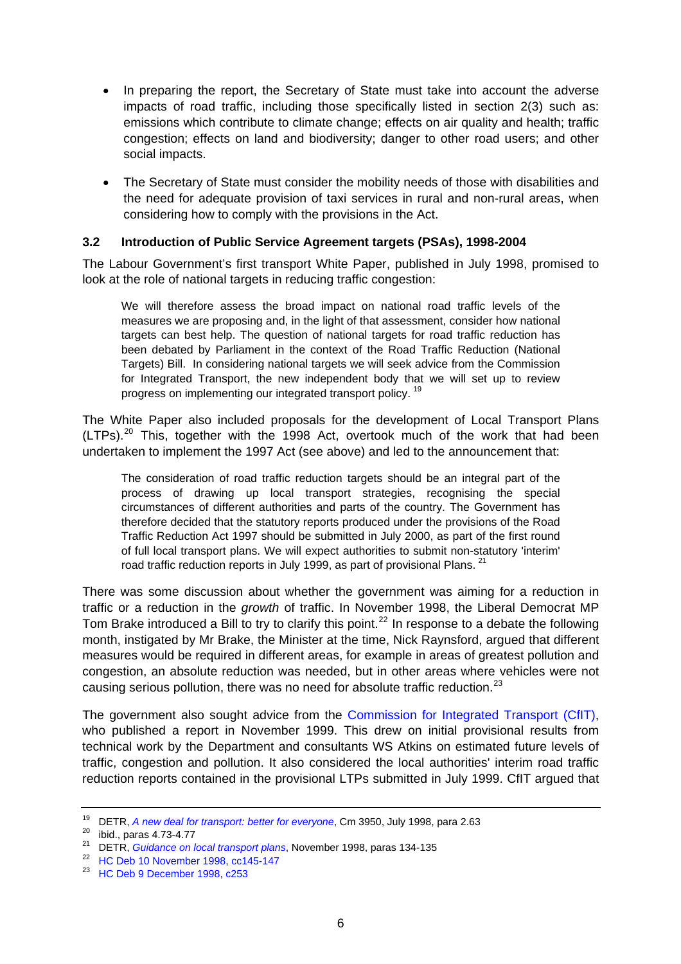- <span id="page-5-0"></span>In preparing the report, the Secretary of State must take into account the adverse impacts of road traffic, including those specifically listed in section 2(3) such as: emissions which contribute to climate change; effects on air quality and health; traffic congestion; effects on land and biodiversity; danger to other road users; and other social impacts.
- The Secretary of State must consider the mobility needs of those with disabilities and the need for adequate provision of taxi services in rural and non-rural areas, when considering how to comply with the provisions in the Act.

#### **3.2 Introduction of Public Service Agreement targets (PSAs), 1998-2004**

The Labour Government's first transport White Paper, published in July 1998, promised to look at the role of national targets in reducing traffic congestion:

We will therefore assess the broad impact on national road traffic levels of the measures we are proposing and, in the light of that assessment, consider how national targets can best help. The question of national targets for road traffic reduction has been debated by Parliament in the context of the Road Traffic Reduction (National Targets) Bill. In considering national targets we will seek advice from the Commission for Integrated Transport, the new independent body that we will set up to review progress on implementing our integrated transport policy.<sup>[19](#page-5-1)</sup>

The White Paper also included proposals for the development of Local Transport Plans  $(LTPs).<sup>20</sup>$  $(LTPs).<sup>20</sup>$  $(LTPs).<sup>20</sup>$  This, together with the 1998 Act, overtook much of the work that had been undertaken to implement the 1997 Act (see above) and led to the announcement that:

The consideration of road traffic reduction targets should be an integral part of the process of drawing up local transport strategies, recognising the special circumstances of different authorities and parts of the country. The Government has therefore decided that the statutory reports produced under the provisions of the Road Traffic Reduction Act 1997 should be submitted in July 2000, as part of the first round of full local transport plans. We will expect authorities to submit non-statutory 'interim' road traffic reduction reports in July 1999, as part of provisional Plans. <sup>[21](#page-5-3)</sup>

There was some discussion about whether the government was aiming for a reduction in traffic or a reduction in the *growth* of traffic. In November 1998, the Liberal Democrat MP Tom Brake introduced a Bill to try to clarify this point.<sup>[22](#page-5-4)</sup> In response to a debate the following month, instigated by Mr Brake, the Minister at the time, Nick Raynsford, argued that different measures would be required in different areas, for example in areas of greatest pollution and congestion, an absolute reduction was needed, but in other areas where vehicles were not causing serious pollution, there was no need for absolute traffic reduction.<sup>[23](#page-5-5)</sup>

The government also sought advice from the [Commission for Integrated Transport \(CfIT\)](http://cfit.independent.gov.uk/), who published a report in November 1999. This drew on initial provisional results from technical work by the Department and consultants WS Atkins on estimated future levels of traffic, congestion and pollution. It also considered the local authorities' interim road traffic reduction reports contained in the provisional LTPs submitted in July 1999. CfIT argued that

<span id="page-5-1"></span><sup>&</sup>lt;sup>19</sup> DETR[,](http://webarchive.nationalarchives.gov.uk/+/http:/www.dft.gov.uk/about/strategy/whitepapers/previous/anewdealfortransportbetterfo5695) *A new deal for transport: better for everyone*, Cm 3950, July 1998, para 2.63<br><sup>20</sup> ibid., paras 4.73-4.77

<span id="page-5-3"></span><span id="page-5-2"></span><sup>&</sup>lt;sup>21</sup> DETR[,](http://web.archive.bibalex.org/web/19990219125332/www.local-transport.detr.gov.uk/ltp9811/index.htm) *Guidance on local transport plans*, November 1998, paras 134-135<br><sup>22</sup> [HC Deb 10 November 1998, cc145-147](http://hansard.millbanksystems.com/commons/1998/nov/10/road-traffic-reduction-national-targets)

<span id="page-5-5"></span><span id="page-5-4"></span><sup>23</sup> [HC Deb 9 December 1998, c253](http://hansard.millbanksystems.com/commons/1998/dec/09/road-traffic-reduction)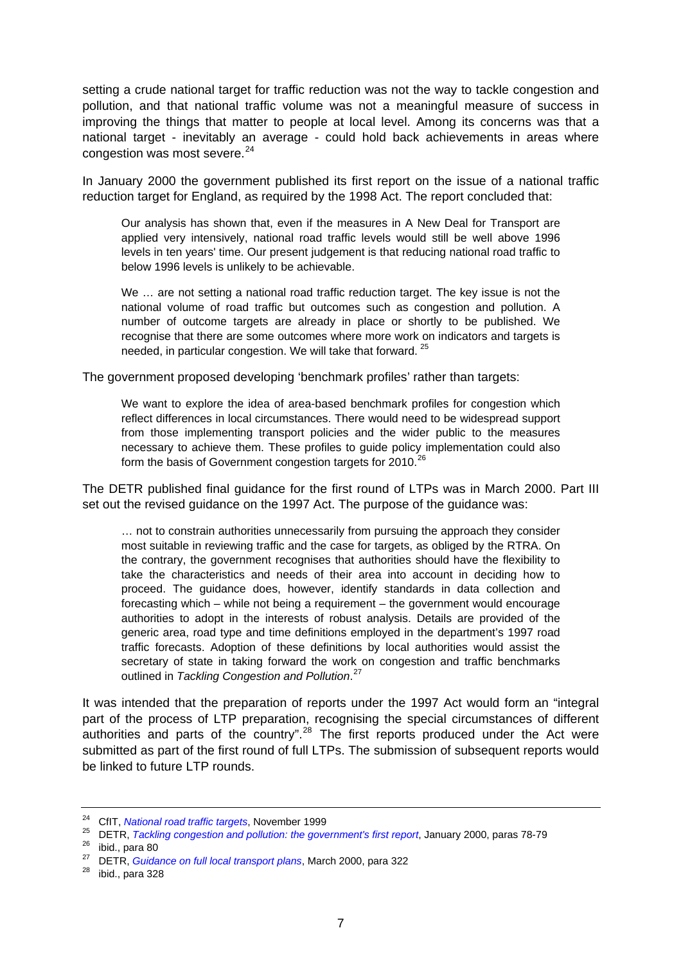setting a crude national target for traffic reduction was not the way to tackle congestion and pollution, and that national traffic volume was not a meaningful measure of success in improving the things that matter to people at local level. Among its concerns was that a national target - inevitably an average - could hold back achievements in areas where congestion was most severe.<sup>[24](#page-6-0)</sup>

In January 2000 the government published its first report on the issue of a national traffic reduction target for England, as required by the 1998 Act. The report concluded that:

Our analysis has shown that, even if the measures in A New Deal for Transport are applied very intensively, national road traffic levels would still be well above 1996 levels in ten years' time. Our present judgement is that reducing national road traffic to below 1996 levels is unlikely to be achievable.

We ... are not setting a national road traffic reduction target. The key issue is not the national volume of road traffic but outcomes such as congestion and pollution. A number of outcome targets are already in place or shortly to be published. We recognise that there are some outcomes where more work on indicators and targets is needed, in particular congestion. We will take that forward. <sup>[25](#page-6-1)</sup>

The government proposed developing 'benchmark profiles' rather than targets:

We want to explore the idea of area-based benchmark profiles for congestion which reflect differences in local circumstances. There would need to be widespread support from those implementing transport policies and the wider public to the measures necessary to achieve them. These profiles to guide policy implementation could also form the basis of Government congestion targets for 2010.<sup>[26](#page-6-2)</sup>

The DETR published final guidance for the first round of LTPs was in March 2000. Part III set out the revised guidance on the 1997 Act. The purpose of the guidance was:

… not to constrain authorities unnecessarily from pursuing the approach they consider most suitable in reviewing traffic and the case for targets, as obliged by the RTRA. On the contrary, the government recognises that authorities should have the flexibility to take the characteristics and needs of their area into account in deciding how to proceed. The guidance does, however, identify standards in data collection and forecasting which – while not being a requirement – the government would encourage authorities to adopt in the interests of robust analysis. Details are provided of the generic area, road type and time definitions employed in the department's 1997 road traffic forecasts. Adoption of these definitions by local authorities would assist the secretary of state in taking forward the work on congestion and traffic benchmarks outlined in *Tackling Congestion and Pollution*. [27](#page-6-3)

It was intended that the preparation of reports under the 1997 Act would form an "integral part of the process of LTP preparation, recognising the special circumstances of different authorities and parts of the country".<sup>[28](#page-6-4)</sup> The first reports produced under the Act were submitted as part of the first round of full LTPs. The submission of subsequent reports would be linked to future LTP rounds.

<span id="page-6-1"></span><span id="page-6-0"></span><sup>&</sup>lt;sup>24</sup> CfIT[,](http://www.dft.gov.uk/pgr/roads/tpm/congestionresearch/tacklingcongestionandpolluti4028) *National road traffic targets*, November 1999<br><sup>25</sup> DETR, *Tackling congestion and pollution: the government's first report*, January 2000, paras 78-79<br><sup>26</sup> ibid., para 80

<span id="page-6-3"></span><span id="page-6-2"></span><sup>&</sup>lt;sup>27</sup> DETR[,](http://webarchive.nationalarchives.gov.uk/+/http:/www.dft.gov.uk/pgr/regional/ltp/guidance/fltp/guidanceonfulllocaltransport3660) *Guidance on full local transport plans*, March 2000, para 322 ibid., para 328

<span id="page-6-4"></span>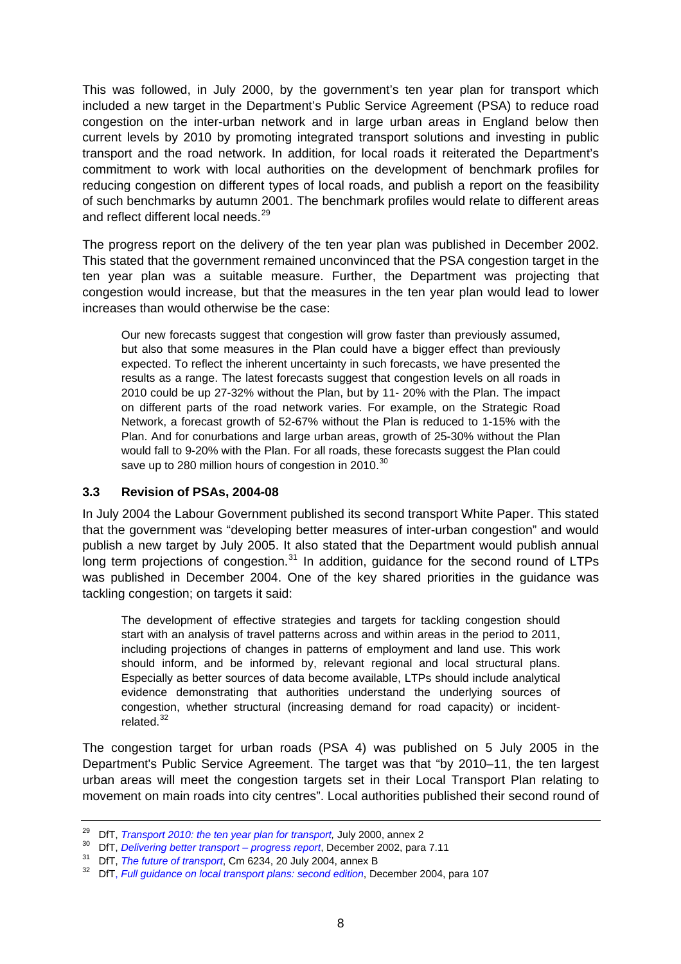<span id="page-7-0"></span>This was followed, in July 2000, by the government's ten year plan for transport which included a new target in the Department's Public Service Agreement (PSA) to reduce road congestion on the inter-urban network and in large urban areas in England below then current levels by 2010 by promoting integrated transport solutions and investing in public transport and the road network. In addition, for local roads it reiterated the Department's commitment to work with local authorities on the development of benchmark profiles for reducing congestion on different types of local roads, and publish a report on the feasibility of such benchmarks by autumn 2001. The benchmark profiles would relate to different areas and reflect different local needs.<sup>[29](#page-7-1)</sup>

The progress report on the delivery of the ten year plan was published in December 2002. This stated that the government remained unconvinced that the PSA congestion target in the ten year plan was a suitable measure. Further, the Department was projecting that congestion would increase, but that the measures in the ten year plan would lead to lower increases than would otherwise be the case:

Our new forecasts suggest that congestion will grow faster than previously assumed, but also that some measures in the Plan could have a bigger effect than previously expected. To reflect the inherent uncertainty in such forecasts, we have presented the results as a range. The latest forecasts suggest that congestion levels on all roads in 2010 could be up 27-32% without the Plan, but by 11- 20% with the Plan. The impact on different parts of the road network varies. For example, on the Strategic Road Network, a forecast growth of 52-67% without the Plan is reduced to 1-15% with the Plan. And for conurbations and large urban areas, growth of 25-30% without the Plan would fall to 9-20% with the Plan. For all roads, these forecasts suggest the Plan could save up to 280 million hours of congestion in 2010.<sup>[30](#page-7-2)</sup>

#### **3.3 Revision of PSAs, 2004-08**

In July 2004 the Labour Government published its second transport White Paper. This stated that the government was "developing better measures of inter-urban congestion" and would publish a new target by July 2005. It also stated that the Department would publish annual long term projections of congestion. $31$  In addition, guidance for the second round of LTPs was published in December 2004. One of the key shared priorities in the guidance was tackling congestion; on targets it said:

The development of effective strategies and targets for tackling congestion should start with an analysis of travel patterns across and within areas in the period to 2011, including projections of changes in patterns of employment and land use. This work should inform, and be informed by, relevant regional and local structural plans. Especially as better sources of data become available, LTPs should include analytical evidence demonstrating that authorities understand the underlying sources of congestion, whether structural (increasing demand for road capacity) or incident-related.<sup>[32](#page-7-4)</sup>

The congestion target for urban roads (PSA 4) was published on 5 July 2005 in the Department's Public Service Agreement. The target was that "by 2010–11, the ten largest urban areas will meet the congestion targets set in their Local Transport Plan relating to movement on main roads into city centres". Local authorities published their second round of

<span id="page-7-2"></span>

<span id="page-7-4"></span><span id="page-7-3"></span>

<span id="page-7-1"></span><sup>&</sup>lt;sup>29</sup> DfT[,](http://webarchive.nationalarchives.gov.uk/+/http:/www.dft.gov.uk/pgr/regional/ltp/guidance/fltp/fullguidanceonlocaltransport3657) *Transport 2010: the ten year plan for transport*, July 2000, annex 2<br><sup>30</sup> DfT, *Delivering better transport – progress report*, December 2002, para 7.11<br><sup>31</sup> DfT, *The future of transport*, Cm 6234, 20 July 200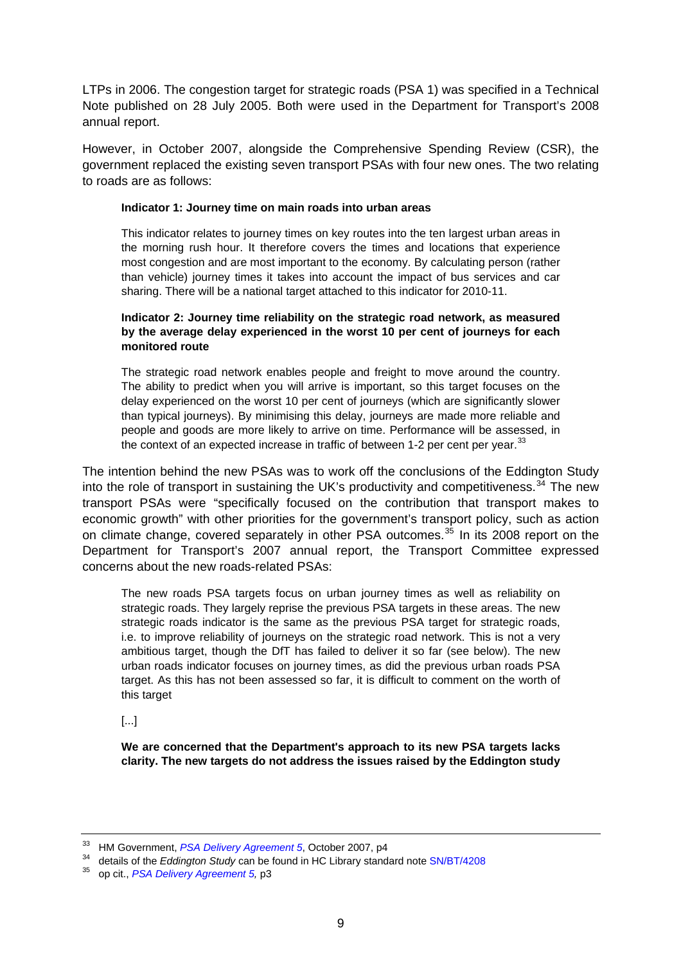LTPs in 2006. The congestion target for strategic roads (PSA 1) was specified in a Technical Note published on 28 July 2005. Both were used in the Department for Transport's 2008 annual report.

However, in October 2007, alongside the Comprehensive Spending Review (CSR), the government replaced the existing seven transport PSAs with four new ones. The two relating to roads are as follows:

#### **Indicator 1: Journey time on main roads into urban areas**

This indicator relates to journey times on key routes into the ten largest urban areas in the morning rush hour. It therefore covers the times and locations that experience most congestion and are most important to the economy. By calculating person (rather than vehicle) journey times it takes into account the impact of bus services and car sharing. There will be a national target attached to this indicator for 2010-11.

#### **Indicator 2: Journey time reliability on the strategic road network, as measured by the average delay experienced in the worst 10 per cent of journeys for each monitored route**

The strategic road network enables people and freight to move around the country. The ability to predict when you will arrive is important, so this target focuses on the delay experienced on the worst 10 per cent of journeys (which are significantly slower than typical journeys). By minimising this delay, journeys are made more reliable and people and goods are more likely to arrive on time. Performance will be assessed, in the context of an expected increase in traffic of between 1-2 per cent per year. $^{33}$  $^{33}$  $^{33}$ 

The intention behind the new PSAs was to work off the conclusions of the Eddington Study into the role of transport in sustaining the UK's productivity and competitiveness.<sup>[34](#page-8-1)</sup> The new transport PSAs were "specifically focused on the contribution that transport makes to economic growth" with other priorities for the government's transport policy, such as action on climate change, covered separately in other PSA outcomes.<sup>[35](#page-8-2)</sup> In its 2008 report on the Department for Transport's 2007 annual report, the Transport Committee expressed concerns about the new roads-related PSAs:

The new roads PSA targets focus on urban journey times as well as reliability on strategic roads. They largely reprise the previous PSA targets in these areas. The new strategic roads indicator is the same as the previous PSA target for strategic roads, i.e. to improve reliability of journeys on the strategic road network. This is not a very ambitious target, though the DfT has failed to deliver it so far (see below). The new urban roads indicator focuses on journey times, as did the previous urban roads PSA target. As this has not been assessed so far, it is difficult to comment on the worth of this target

#### [...]

**We are concerned that the Department's approach to its new PSA targets lacks clarity. The new targets do not address the issues raised by the Eddington study** 

<span id="page-8-0"></span><sup>&</sup>lt;sup>33</sup> HM Government, *PSA Delivery Agreement 5*, October 2007, p4<br><sup>34</sup> details of the *Eddington Study* can be found in HC Library standard note [SN/BT/4208](http://www.parliament.uk/briefingpapers/commons/lib/research/briefings/snbt-04208.pdf)

<span id="page-8-2"></span><span id="page-8-1"></span><sup>35</sup> op cit., *[PSA Delivery Agreement 5](http://webarchive.nationalarchives.gov.uk/+/http:/www.hm-treasury.gov.uk/media/1/F/pbr_csr07_psa5.pdf),* p3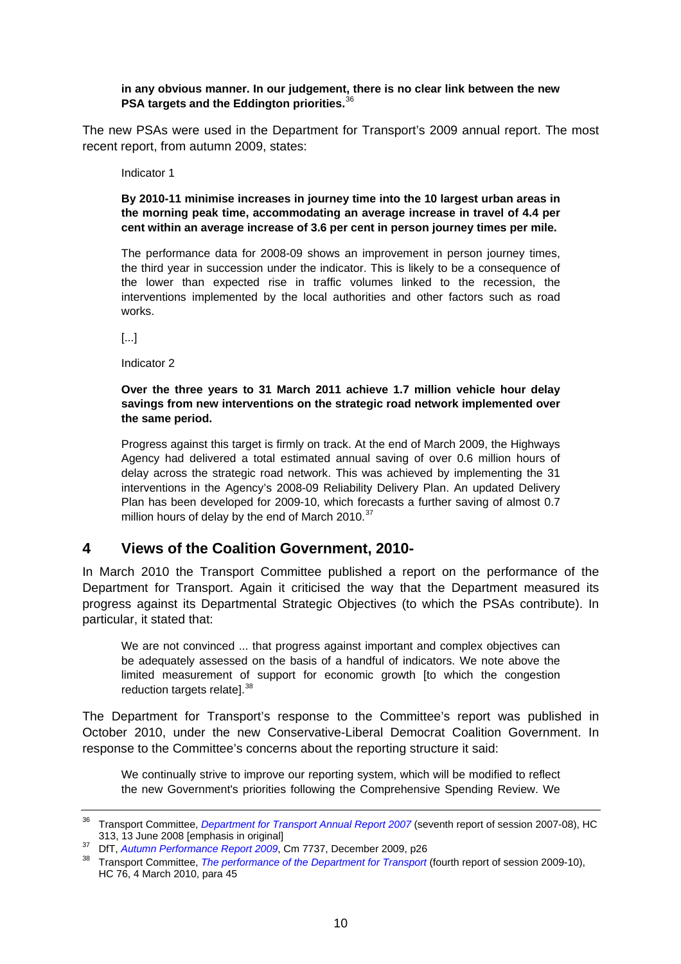#### <span id="page-9-0"></span>**in any obvious manner. In our judgement, there is no clear link between the new PSA targets and the Eddington priorities.**[36](#page-9-1)

The new PSAs were used in the Department for Transport's 2009 annual report. The most recent report, from autumn 2009, states:

Indicator 1

**By 2010-11 minimise increases in journey time into the 10 largest urban areas in the morning peak time, accommodating an average increase in travel of 4.4 per cent within an average increase of 3.6 per cent in person journey times per mile.** 

The performance data for 2008-09 shows an improvement in person journey times, the third year in succession under the indicator. This is likely to be a consequence of the lower than expected rise in traffic volumes linked to the recession, the interventions implemented by the local authorities and other factors such as road works.

[...]

Indicator 2

#### **Over the three years to 31 March 2011 achieve 1.7 million vehicle hour delay savings from new interventions on the strategic road network implemented over the same period.**

Progress against this target is firmly on track. At the end of March 2009, the Highways Agency had delivered a total estimated annual saving of over 0.6 million hours of delay across the strategic road network. This was achieved by implementing the 31 interventions in the Agency's 2008-09 Reliability Delivery Plan. An updated Delivery Plan has been developed for 2009-10, which forecasts a further saving of almost 0.7 million hours of delay by the end of March 2010.<sup>[37](#page-9-2)</sup>

### **4 Views of the Coalition Government, 2010-**

In March 2010 the Transport Committee published a report on the performance of the Department for Transport. Again it criticised the way that the Department measured its progress against its Departmental Strategic Objectives (to which the PSAs contribute). In particular, it stated that:

We are not convinced ... that progress against important and complex objectives can be adequately assessed on the basis of a handful of indicators. We note above the limited measurement of support for economic growth [to which the congestion reduction targets relate].<sup>[38](#page-9-3)</sup>

The Department for Transport's response to the Committee's report was published in October 2010, under the new Conservative-Liberal Democrat Coalition Government. In response to the Committee's concerns about the reporting structure it said:

We continually strive to improve our reporting system, which will be modified to reflect the new Government's priorities following the Comprehensive Spending Review. We

<span id="page-9-1"></span><sup>36</sup> Transport Committee, *[Department for Transport Annual Report 2007](http://www.publications.parliament.uk/pa/cm200708/cmselect/cmtran/313/31302.htm)* (seventh report of session 2007-08), HC

<span id="page-9-3"></span><span id="page-9-2"></span><sup>&</sup>lt;sup>37</sup> DfT[,](http://www.dft.gov.uk/about/publications/apr/ap/apr2009/pdf/report.pdf) *Autumn Performance Report 2009*, Cm 7737, December 2009, p26<br><sup>38</sup> Transport Committee, *The performance of the Department for Transport* (fourth report of session 2009-10), HC 76, 4 March 2010, para 45